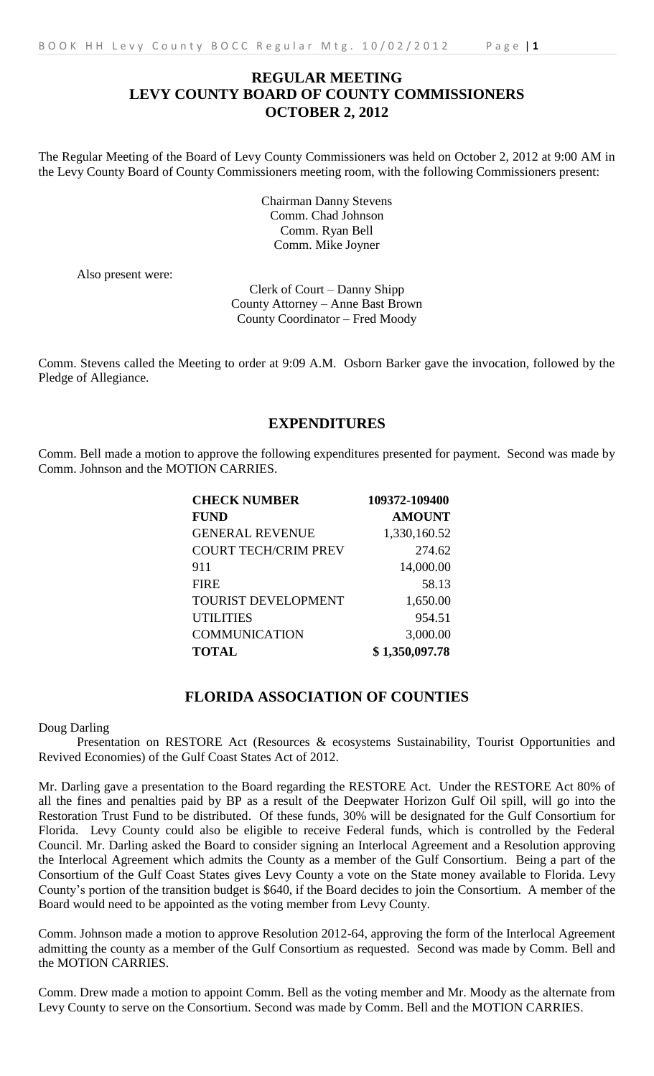# **REGULAR MEETING LEVY COUNTY BOARD OF COUNTY COMMISSIONERS OCTOBER 2, 2012**

The Regular Meeting of the Board of Levy County Commissioners was held on October 2, 2012 at 9:00 AM in the Levy County Board of County Commissioners meeting room, with the following Commissioners present:

> Chairman Danny Stevens Comm. Chad Johnson Comm. Ryan Bell Comm. Mike Joyner

Also present were:

Clerk of Court – Danny Shipp County Attorney – Anne Bast Brown County Coordinator – Fred Moody

Comm. Stevens called the Meeting to order at 9:09 A.M. Osborn Barker gave the invocation, followed by the Pledge of Allegiance.

# **EXPENDITURES**

Comm. Bell made a motion to approve the following expenditures presented for payment. Second was made by Comm. Johnson and the MOTION CARRIES.

| <b>CHECK NUMBER</b>         | 109372-109400  |
|-----------------------------|----------------|
| <b>FUND</b>                 | <b>AMOUNT</b>  |
| <b>GENERAL REVENUE</b>      | 1,330,160.52   |
| <b>COURT TECH/CRIM PREV</b> | 274.62         |
| 911                         | 14,000.00      |
| <b>FIRE</b>                 | 58.13          |
| <b>TOURIST DEVELOPMENT</b>  | 1,650.00       |
| <b>UTILITIES</b>            | 954.51         |
| <b>COMMUNICATION</b>        | 3,000.00       |
| <b>TOTAL</b>                | \$1,350,097.78 |

## **FLORIDA ASSOCIATION OF COUNTIES**

Doug Darling

Presentation on RESTORE Act (Resources & ecosystems Sustainability, Tourist Opportunities and Revived Economies) of the Gulf Coast States Act of 2012.

Mr. Darling gave a presentation to the Board regarding the RESTORE Act. Under the RESTORE Act 80% of all the fines and penalties paid by BP as a result of the Deepwater Horizon Gulf Oil spill, will go into the Restoration Trust Fund to be distributed. Of these funds, 30% will be designated for the Gulf Consortium for Florida. Levy County could also be eligible to receive Federal funds, which is controlled by the Federal Council. Mr. Darling asked the Board to consider signing an Interlocal Agreement and a Resolution approving the Interlocal Agreement which admits the County as a member of the Gulf Consortium. Being a part of the Consortium of the Gulf Coast States gives Levy County a vote on the State money available to Florida. Levy County's portion of the transition budget is \$640, if the Board decides to join the Consortium. A member of the Board would need to be appointed as the voting member from Levy County.

Comm. Johnson made a motion to approve Resolution 2012-64, approving the form of the Interlocal Agreement admitting the county as a member of the Gulf Consortium as requested. Second was made by Comm. Bell and the MOTION CARRIES.

Comm. Drew made a motion to appoint Comm. Bell as the voting member and Mr. Moody as the alternate from Levy County to serve on the Consortium. Second was made by Comm. Bell and the MOTION CARRIES.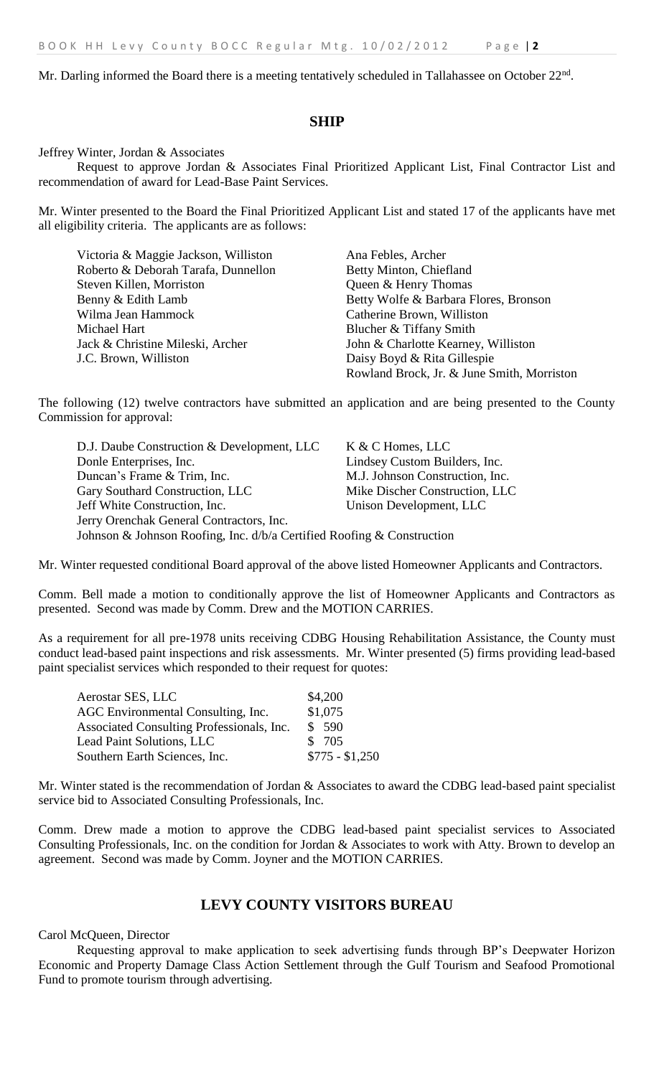Mr. Darling informed the Board there is a meeting tentatively scheduled in Tallahassee on October 22<sup>nd</sup>.

#### **SHIP**

Jeffrey Winter, Jordan & Associates

Request to approve Jordan & Associates Final Prioritized Applicant List, Final Contractor List and recommendation of award for Lead-Base Paint Services.

Mr. Winter presented to the Board the Final Prioritized Applicant List and stated 17 of the applicants have met all eligibility criteria. The applicants are as follows:

| Victoria & Maggie Jackson, Williston | Ana Febles, Archer                         |
|--------------------------------------|--------------------------------------------|
| Roberto & Deborah Tarafa, Dunnellon  | Betty Minton, Chiefland                    |
| Steven Killen, Morriston             | Queen & Henry Thomas                       |
| Benny & Edith Lamb                   | Betty Wolfe & Barbara Flores, Bronson      |
| Wilma Jean Hammock                   | Catherine Brown, Williston                 |
| Michael Hart                         | Blucher & Tiffany Smith                    |
| Jack & Christine Mileski, Archer     | John & Charlotte Kearney, Williston        |
| J.C. Brown, Williston                | Daisy Boyd & Rita Gillespie                |
|                                      | Rowland Brock, Jr. & June Smith, Morriston |

The following (12) twelve contractors have submitted an application and are being presented to the County Commission for approval:

D.J. Daube Construction & Development, LLC K & C Homes, LLC Donle Enterprises, Inc. Lindsey Custom Builders, Inc. Duncan's Frame & Trim, Inc. M.J. Johnson Construction, Inc. Gary Southard Construction, LLC Mike Discher Construction, LLC Jeff White Construction, Inc. Unison Development, LLC Jerry Orenchak General Contractors, Inc. Johnson & Johnson Roofing, Inc. d/b/a Certified Roofing & Construction

Mr. Winter requested conditional Board approval of the above listed Homeowner Applicants and Contractors.

Comm. Bell made a motion to conditionally approve the list of Homeowner Applicants and Contractors as presented. Second was made by Comm. Drew and the MOTION CARRIES.

As a requirement for all pre-1978 units receiving CDBG Housing Rehabilitation Assistance, the County must conduct lead-based paint inspections and risk assessments. Mr. Winter presented (5) firms providing lead-based paint specialist services which responded to their request for quotes:

| Aerostar SES, LLC                         | \$4,200         |
|-------------------------------------------|-----------------|
| AGC Environmental Consulting, Inc.        | \$1,075         |
| Associated Consulting Professionals, Inc. | \$590           |
| <b>Lead Paint Solutions, LLC</b>          | \$ 705          |
| Southern Earth Sciences, Inc.             | $$775 - $1,250$ |

Mr. Winter stated is the recommendation of Jordan & Associates to award the CDBG lead-based paint specialist service bid to Associated Consulting Professionals, Inc.

Comm. Drew made a motion to approve the CDBG lead-based paint specialist services to Associated Consulting Professionals, Inc. on the condition for Jordan & Associates to work with Atty. Brown to develop an agreement. Second was made by Comm. Joyner and the MOTION CARRIES.

## **LEVY COUNTY VISITORS BUREAU**

#### Carol McQueen, Director

Requesting approval to make application to seek advertising funds through BP's Deepwater Horizon Economic and Property Damage Class Action Settlement through the Gulf Tourism and Seafood Promotional Fund to promote tourism through advertising.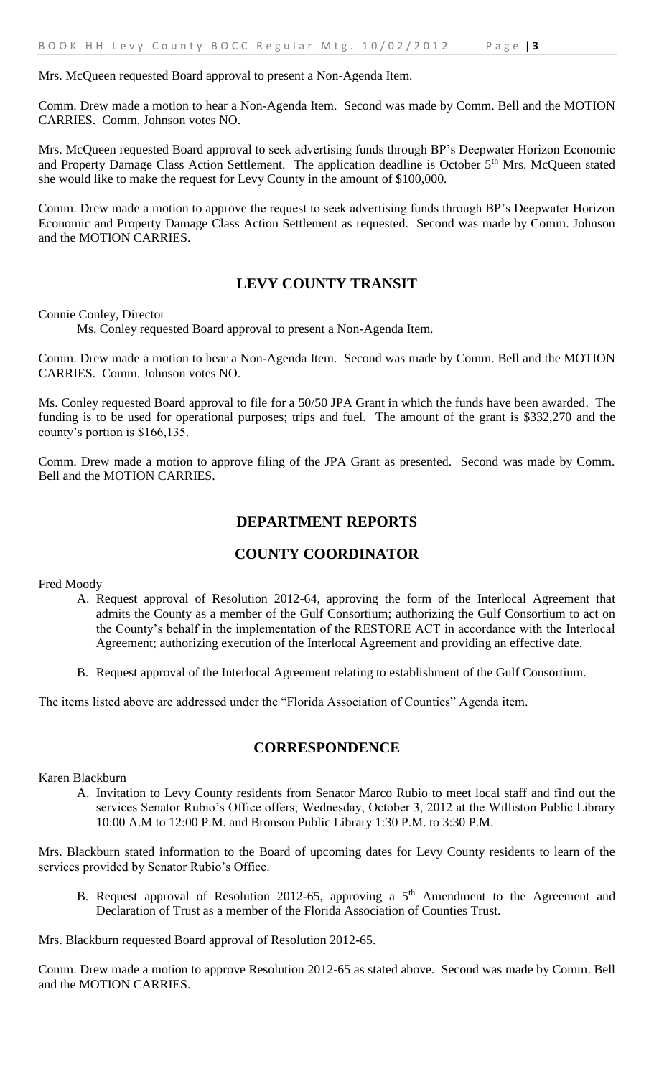#### Mrs. McQueen requested Board approval to present a Non-Agenda Item.

Comm. Drew made a motion to hear a Non-Agenda Item. Second was made by Comm. Bell and the MOTION CARRIES. Comm. Johnson votes NO.

Mrs. McQueen requested Board approval to seek advertising funds through BP's Deepwater Horizon Economic and Property Damage Class Action Settlement. The application deadline is October 5<sup>th</sup> Mrs. McQueen stated she would like to make the request for Levy County in the amount of \$100,000.

Comm. Drew made a motion to approve the request to seek advertising funds through BP's Deepwater Horizon Economic and Property Damage Class Action Settlement as requested. Second was made by Comm. Johnson and the MOTION CARRIES.

## **LEVY COUNTY TRANSIT**

Connie Conley, Director

Ms. Conley requested Board approval to present a Non-Agenda Item.

Comm. Drew made a motion to hear a Non-Agenda Item. Second was made by Comm. Bell and the MOTION CARRIES. Comm. Johnson votes NO.

Ms. Conley requested Board approval to file for a 50/50 JPA Grant in which the funds have been awarded. The funding is to be used for operational purposes; trips and fuel. The amount of the grant is \$332,270 and the county's portion is \$166,135.

Comm. Drew made a motion to approve filing of the JPA Grant as presented. Second was made by Comm. Bell and the MOTION CARRIES.

## **DEPARTMENT REPORTS**

# **COUNTY COORDINATOR**

Fred Moody

- A. Request approval of Resolution 2012-64, approving the form of the Interlocal Agreement that admits the County as a member of the Gulf Consortium; authorizing the Gulf Consortium to act on the County's behalf in the implementation of the RESTORE ACT in accordance with the Interlocal Agreement; authorizing execution of the Interlocal Agreement and providing an effective date.
- B. Request approval of the Interlocal Agreement relating to establishment of the Gulf Consortium.

The items listed above are addressed under the "Florida Association of Counties" Agenda item.

#### **CORRESPONDENCE**

Karen Blackburn

A. Invitation to Levy County residents from Senator Marco Rubio to meet local staff and find out the services Senator Rubio's Office offers; Wednesday, October 3, 2012 at the Williston Public Library 10:00 A.M to 12:00 P.M. and Bronson Public Library 1:30 P.M. to 3:30 P.M.

Mrs. Blackburn stated information to the Board of upcoming dates for Levy County residents to learn of the services provided by Senator Rubio's Office.

B. Request approval of Resolution 2012-65, approving a  $5<sup>th</sup>$  Amendment to the Agreement and Declaration of Trust as a member of the Florida Association of Counties Trust.

Mrs. Blackburn requested Board approval of Resolution 2012-65.

Comm. Drew made a motion to approve Resolution 2012-65 as stated above. Second was made by Comm. Bell and the MOTION CARRIES.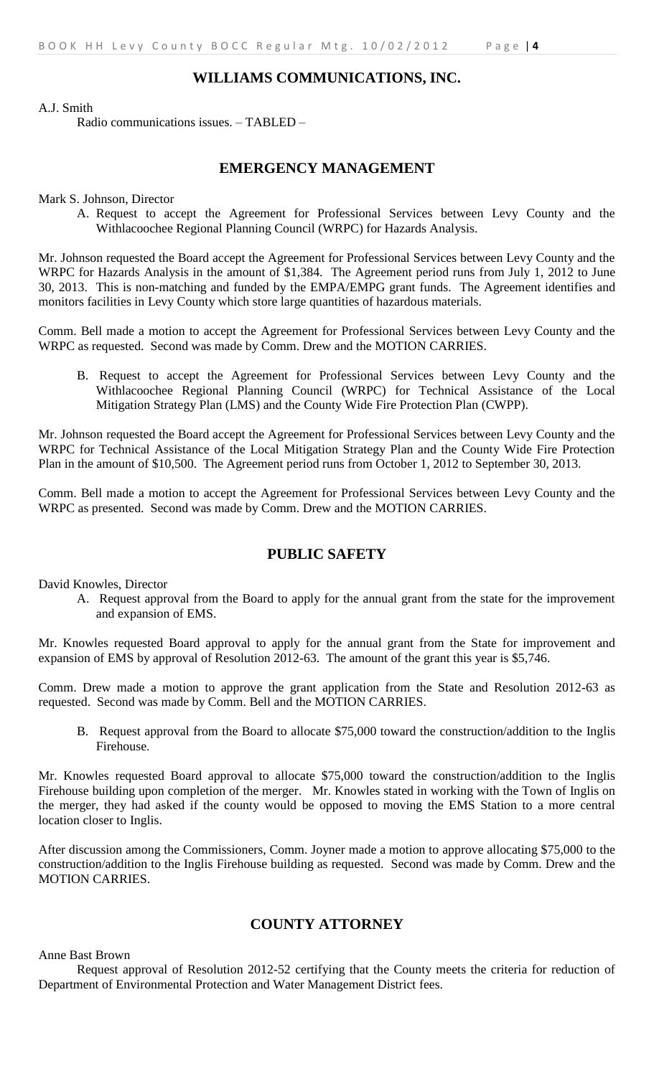### **WILLIAMS COMMUNICATIONS, INC.**

A.J. Smith

Radio communications issues. – TABLED –

#### **EMERGENCY MANAGEMENT**

Mark S. Johnson, Director

A. Request to accept the Agreement for Professional Services between Levy County and the Withlacoochee Regional Planning Council (WRPC) for Hazards Analysis.

Mr. Johnson requested the Board accept the Agreement for Professional Services between Levy County and the WRPC for Hazards Analysis in the amount of \$1,384. The Agreement period runs from July 1, 2012 to June 30, 2013. This is non-matching and funded by the EMPA/EMPG grant funds. The Agreement identifies and monitors facilities in Levy County which store large quantities of hazardous materials.

Comm. Bell made a motion to accept the Agreement for Professional Services between Levy County and the WRPC as requested. Second was made by Comm. Drew and the MOTION CARRIES.

B. Request to accept the Agreement for Professional Services between Levy County and the Withlacoochee Regional Planning Council (WRPC) for Technical Assistance of the Local Mitigation Strategy Plan (LMS) and the County Wide Fire Protection Plan (CWPP).

Mr. Johnson requested the Board accept the Agreement for Professional Services between Levy County and the WRPC for Technical Assistance of the Local Mitigation Strategy Plan and the County Wide Fire Protection Plan in the amount of \$10,500. The Agreement period runs from October 1, 2012 to September 30, 2013.

Comm. Bell made a motion to accept the Agreement for Professional Services between Levy County and the WRPC as presented. Second was made by Comm. Drew and the MOTION CARRIES.

## **PUBLIC SAFETY**

David Knowles, Director

A. Request approval from the Board to apply for the annual grant from the state for the improvement and expansion of EMS.

Mr. Knowles requested Board approval to apply for the annual grant from the State for improvement and expansion of EMS by approval of Resolution 2012-63. The amount of the grant this year is \$5,746.

Comm. Drew made a motion to approve the grant application from the State and Resolution 2012-63 as requested. Second was made by Comm. Bell and the MOTION CARRIES.

B. Request approval from the Board to allocate \$75,000 toward the construction/addition to the Inglis Firehouse.

Mr. Knowles requested Board approval to allocate \$75,000 toward the construction/addition to the Inglis Firehouse building upon completion of the merger. Mr. Knowles stated in working with the Town of Inglis on the merger, they had asked if the county would be opposed to moving the EMS Station to a more central location closer to Inglis.

After discussion among the Commissioners, Comm. Joyner made a motion to approve allocating \$75,000 to the construction/addition to the Inglis Firehouse building as requested. Second was made by Comm. Drew and the MOTION CARRIES.

# **COUNTY ATTORNEY**

Anne Bast Brown

Request approval of Resolution 2012-52 certifying that the County meets the criteria for reduction of Department of Environmental Protection and Water Management District fees.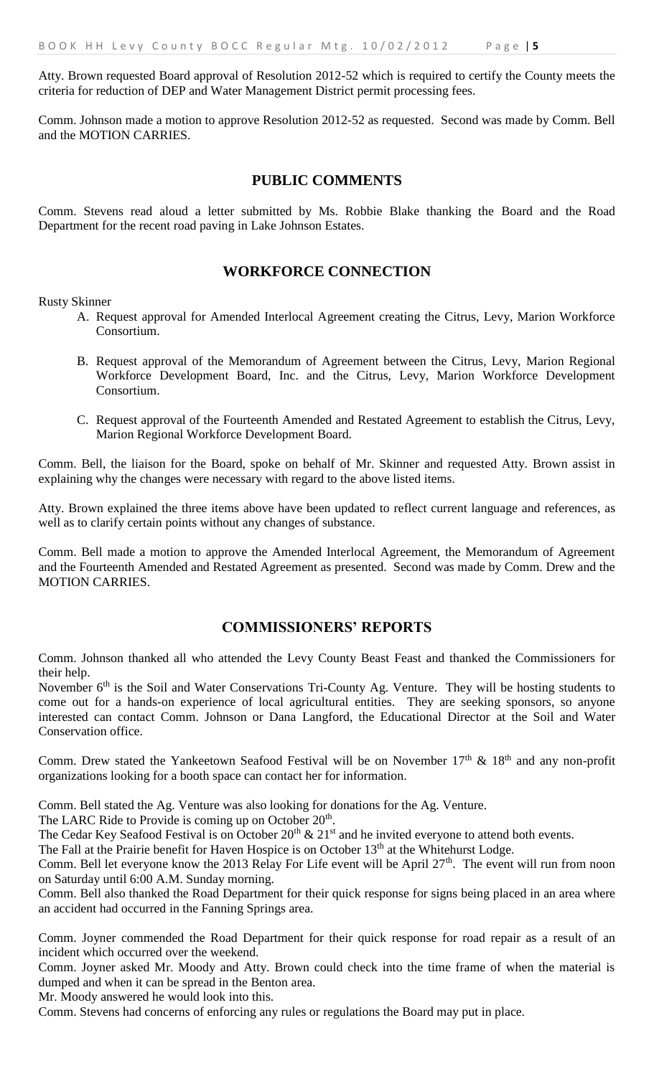Atty. Brown requested Board approval of Resolution 2012-52 which is required to certify the County meets the criteria for reduction of DEP and Water Management District permit processing fees.

Comm. Johnson made a motion to approve Resolution 2012-52 as requested. Second was made by Comm. Bell and the MOTION CARRIES.

## **PUBLIC COMMENTS**

Comm. Stevens read aloud a letter submitted by Ms. Robbie Blake thanking the Board and the Road Department for the recent road paving in Lake Johnson Estates.

#### **WORKFORCE CONNECTION**

Rusty Skinner

- A. Request approval for Amended Interlocal Agreement creating the Citrus, Levy, Marion Workforce Consortium.
- B. Request approval of the Memorandum of Agreement between the Citrus, Levy, Marion Regional Workforce Development Board, Inc. and the Citrus, Levy, Marion Workforce Development Consortium.
- C. Request approval of the Fourteenth Amended and Restated Agreement to establish the Citrus, Levy, Marion Regional Workforce Development Board.

Comm. Bell, the liaison for the Board, spoke on behalf of Mr. Skinner and requested Atty. Brown assist in explaining why the changes were necessary with regard to the above listed items.

Atty. Brown explained the three items above have been updated to reflect current language and references, as well as to clarify certain points without any changes of substance.

Comm. Bell made a motion to approve the Amended Interlocal Agreement, the Memorandum of Agreement and the Fourteenth Amended and Restated Agreement as presented. Second was made by Comm. Drew and the MOTION CARRIES.

## **COMMISSIONERS' REPORTS**

Comm. Johnson thanked all who attended the Levy County Beast Feast and thanked the Commissioners for their help.

November 6<sup>th</sup> is the Soil and Water Conservations Tri-County Ag. Venture. They will be hosting students to come out for a hands-on experience of local agricultural entities. They are seeking sponsors, so anyone interested can contact Comm. Johnson or Dana Langford, the Educational Director at the Soil and Water Conservation office.

Comm. Drew stated the Yankeetown Seafood Festival will be on November  $17<sup>th</sup>$  &  $18<sup>th</sup>$  and any non-profit organizations looking for a booth space can contact her for information.

Comm. Bell stated the Ag. Venture was also looking for donations for the Ag. Venture.

The LARC Ride to Provide is coming up on October  $20<sup>th</sup>$ .

The Cedar Key Seafood Festival is on October  $20<sup>th</sup>$  &  $21<sup>st</sup>$  and he invited everyone to attend both events.

The Fall at the Prairie benefit for Haven Hospice is on October 13<sup>th</sup> at the Whitehurst Lodge.

Comm. Bell let everyone know the 2013 Relay For Life event will be April  $27<sup>th</sup>$ . The event will run from noon on Saturday until 6:00 A.M. Sunday morning.

Comm. Bell also thanked the Road Department for their quick response for signs being placed in an area where an accident had occurred in the Fanning Springs area.

Comm. Joyner commended the Road Department for their quick response for road repair as a result of an incident which occurred over the weekend.

Comm. Joyner asked Mr. Moody and Atty. Brown could check into the time frame of when the material is dumped and when it can be spread in the Benton area.

Mr. Moody answered he would look into this.

Comm. Stevens had concerns of enforcing any rules or regulations the Board may put in place.